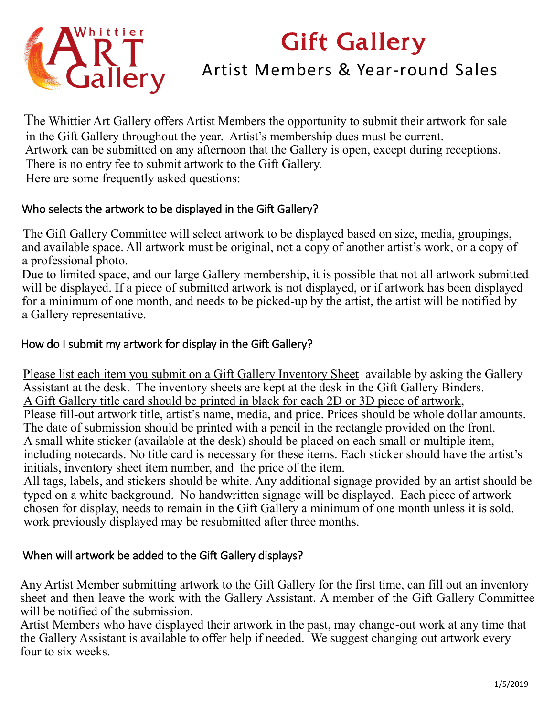# Gift Gallery



# Artist Members & Year-round Sales

 The Whittier Art Gallery offers Artist Members the opportunity to submit their artwork for sale in the Gift Gallery throughout the year. Artist's membership dues must be current. Artwork can be submitted on any afternoon that the Gallery is open, except during receptions. There is no entry fee to submit artwork to the Gift Gallery. Here are some frequently asked questions:

### Who selects the artwork to be displayed in the Gift Gallery?

 The Gift Gallery Committee will select artwork to be displayed based on size, media, groupings, and available space. All artwork must be original, not a copy of another artist's work, or a copy of a professional photo.

 Due to limited space, and our large Gallery membership, it is possible that not all artwork submitted will be displayed. If a piece of submitted artwork is not displayed, or if artwork has been displayed for a minimum of one month, and needs to be picked-up by the artist, the artist will be notified by a Gallery representative.

# How do I submit my artwork for display in the Gift Gallery?

 Please list each item you submit on a Gift Gallery Inventory Sheet available by asking the Gallery Assistant at the desk. The inventory sheets are kept at the desk in the Gift Gallery Binders. A Gift Gallery title card should be printed in black for each 2D or 3D piece of artwork, Please fill-out artwork title, artist's name, media, and price. Prices should be whole dollar amounts. The date of submission should be printed with a pencil in the rectangle provided on the front. A small white sticker (available at the desk) should be placed on each small or multiple item, including notecards. No title card is necessary for these items. Each sticker should have the artist's initials, inventory sheet item number, and the price of the item.

 All tags, labels, and stickers should be white. Any additional signage provided by an artist should be typed on a white background. No handwritten signage will be displayed. Each piece of artwork chosen for display, needs to remain in the Gift Gallery a minimum of one month unless it is sold. work previously displayed may be resubmitted after three months.

# When will artwork be added to the Gift Gallery displays?

Any Artist Member submitting artwork to the Gift Gallery for the first time, can fill out an inventory sheet and then leave the work with the Gallery Assistant. A member of the Gift Gallery Committee will be notified of the submission.

Artist Members who have displayed their artwork in the past, may change-out work at any time that the Gallery Assistant is available to offer help if needed. We suggest changing out artwork every four to six weeks.